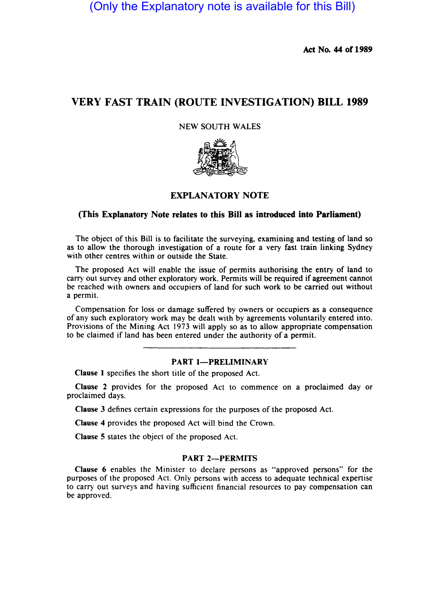(Only the Explanatory note is available for this Bill)

Act No. 44 of 1989

# VERY FAST TRAIN (ROUTE INVESTIGATION) BILL 1989

## NEW SOUTH WALES



# EXPLANATORY NOTE

#### (This Explanatory Note relates to this Bill as introduced into Parliament)

The object of this Bill is to facilitate the surveying, examining and testing of land so as to allow the thorough investigation of a route for a very fast train linking Sydney with other centres within or outside the State.

The proposed Act will enable the issue of permits authorising the entry of land to carry out survey and other exploratory work. Permits will be required if agreement cannot be reached with owners and occupiers of land for such work to be carried out without a permit.

Compensation for loss or damage suffered by owners or occupiers as a consequence of any such exploratory work may be dealt with by agreements voluntarily entered into. Provisions of the Mining Act 1973 will apply so as to allow appropriate compensation to be claimed if land has been entered under the authority of a permit.

#### PART 1-PRELIMINARY

Clause I specifies the short title of the proposed Act.

Clause 2 provides for the proposed Act to commence on a proclaimed day or proclaimed days.

Clause 3 defines certain expressions for the purposes of the proposed Act.

Clause 4 provides the proposed Act will bind the Crown.

Clause 5 states the object of the proposed Act.

#### PART 2-PERMITS

Clause 6 enables the Minister to declare persons as "approved persons" for the purposes of the proposed Act. Only persons with access to adequate technical expertise to carry out surveys and having sufficient financial resources to pay compensation can be approved.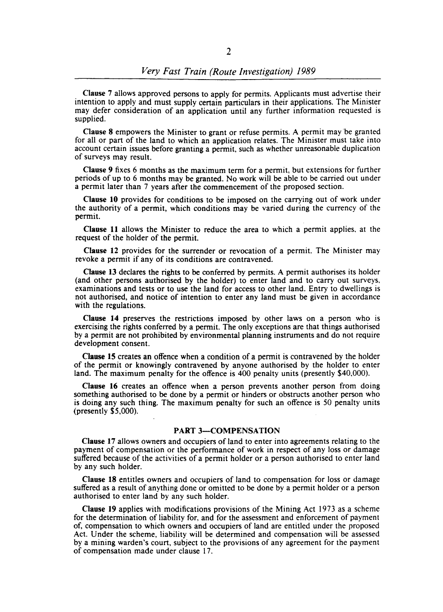Clause 7 allows approved persons to apply for permits. Applicants must advertise their intention to apply and must supply certain particulars in their applications. The Minister may defer consideration of an application until any further information requested is supplied.

Clause 8 empowers the Minister to grant or refuse permits. A permit may 'be granted for all or part of the land to which an application relates. The Minister must take into account certain issues before granting a permit, such as whether unreasonable duplication of surveys may result.

Clause 9 fixes 6 months as the maximum term for a permit, but extensions for further periods of up to 6 months may be granted. No work will be able to be carried out under a permit later than 7 years after the commencement of the proposed section.

Clause 10 provides for conditions to be imposed on the carrying out of work under the authority of a pennit, which conditions may be varied during the currency of the permit.

Clause 11 allows the Minister to reduce the area to which a permit applies, at the request of the holder of the permit.

Clause 12 provides for the surrender or revocation of a permit. The Minister may revoke a permit if any of its conditions are contravened.

Clause 13 declares the rights to be conferred by permits. A permit authorises its holder (and other persons authorised by the holder) to enter land and to carry out surveys, examinations and tests or to use the land for access to other land. Entry to dwellings is not authorised, and notice of intention to enter any land must be given in accordance with the regulations.

Clause 14 preserves the restrictions imposed by other laws on a person who is exercising the rights conferred by a permit. The only exceptions are that things authorised by a permit are not prohibited by environmental planning instruments and do not require development consent.

Clause IS creates an offence when a condition of a permit is contravened by the holder of the permit or knowingly contravened by anyone authorised by the holder to enter land. The maximum penalty for the offence is 400 penalty units (presently \$40,000).

Clause 16 creates an offence when a person prevents another person from doing something authorised to be done by a permit or hinders or obstructs another person who is doing any such thing. The maximum penalty for such an offence is 50 penalty units (presently \$5,000).

#### PART 3-COMPENSATION

Clause 17 allows owners and occupiers of land to enter into agreements relating to the payment of compensation or the performance of work in respect of any loss or damage suffered because of the activities of a permit holder or a person authorised to enter land by any such holder.

Clause 18 entitles owners and occupiers of land to compensation for loss or damage suffered as a result of anything done or omitted to be done by a permit holder or a person authorised to enter land by any such holder.

Clause 19 applies with modifications provisions of the Mining Act 1973 as a scheme for the determination of liability for, and for the assessment and enforcement of payment of, compensation to which owners and occupiers of land are entitled under the proposed Act. Under the scheme, liability will be determined and compensation will be assessed by a mining warden's court, subject to the provisions of any agreement for the payment of compensation made under clause 17.